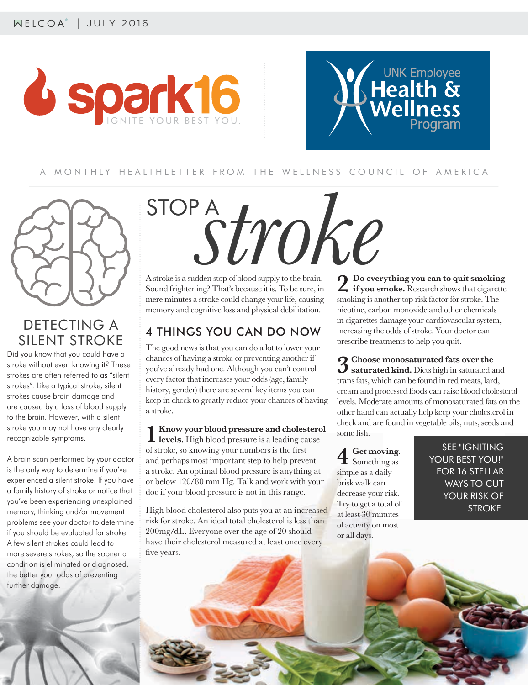



### A MONTHLY HEALTHLETTER FROM THE WELLNESS COUNCIL OF AMERICA



## DETECTING A SILENT STROKE

Did you know that you could have a stroke without even knowing it? These strokes are often referred to as "silent strokes". Like a typical stroke, silent strokes cause brain damage and are caused by a loss of blood supply to the brain. However, with a silent stroke you may not have any clearly recognizable symptoms.

A brain scan performed by your doctor is the only way to determine if you've experienced a silent stroke. If you have a family history of stroke or notice that you've been experiencing unexplained memory, thinking and/or movement problems see your doctor to determine if you should be evaluated for stroke. A few silent strokes could lead to more severe strokes, so the sooner a condition is eliminated or diagnosed, the better your odds of preventing further damage.

# STOP A*stroke*

A stroke is a sudden stop of blood supply to the brain. Sound frightening? That's because it is. To be sure, in mere minutes a stroke could change your life, causing memory and cognitive loss and physical debilitation.

### 4 THINGS YOU CAN DO NOW

The good news is that you can do a lot to lower your chances of having a stroke or preventing another if you've already had one. Although you can't control every factor that increases your odds (age, family history, gender) there are several key items you can keep in check to greatly reduce your chances of having a stroke.

**1 Know your blood pressure and cholesterol levels.** High blood pressure is a leading cause of stroke, so knowing your numbers is the first and perhaps most important step to help prevent a stroke. An optimal blood pressure is anything at or below 120/80 mm Hg. Talk and work with your doc if your blood pressure is not in this range.

High blood cholesterol also puts you at an increased risk for stroke. An ideal total cholesterol is less than 200mg/dL. Everyone over the age of 20 should have their cholesterol measured at least once every five years.

**2 Do everything you can to quit smoking if you smoke.** Research shows that cigarette smoking is another top risk factor for stroke. The nicotine, carbon monoxide and other chemicals in cigarettes damage your cardiovascular system, increasing the odds of stroke. Your doctor can prescribe treatments to help you quit.

**3 Choose monosaturated fats over the saturated kind.** Diets high in saturated and trans fats, which can be found in red meats, lard, cream and processed foods can raise blood cholesterol levels. Moderate amounts of monosaturated fats on the other hand can actually help keep your cholesterol in check and are found in vegetable oils, nuts, seeds and some fish.

**4 Get moving.**  Something as simple as a daily brisk walk can decrease your risk. Try to get a total of at least 30 minutes of activity on most or all days.

SEE "IGNITING YOUR BEST YOU!" FOR 16 STELLAR WAYS TO CUT YOUR RISK OF STROKE.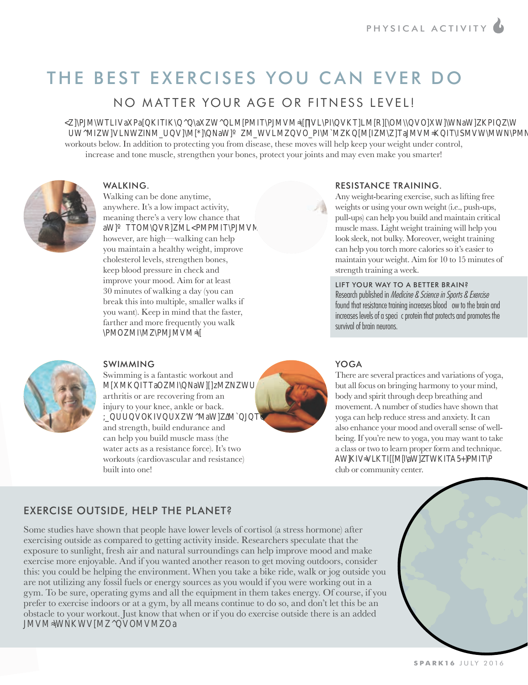# THE BEST EXERCISES YOU CAN EVER DO

NO MATTER YOUR AGE OR FITNESS LEVEL!

PARKINS WATER TO OR AULTON IT IN ESSEEVEL ?<br>
Workouts below. In addition to protecting you from disease, these moves will help keep your weight under control,<br>
increase and tone muscle, strengthen your bones, protect your increase and tone muscle, strengthen your bones, protect your joints and may even make you smarter!



### WALKING.

Walking can be done anytime, anywhere. It's a low impact activity, meaning there's a very low chance that aWTTOMVRMLPMPMITPJMVM however, are high—walking can help you maintain a healthy weight, improve cholesterol levels, strengthen bones, keep blood pressure in check and improve your mood. Aim for at least 30 minutes of walking a day (you can break this into multiple, smaller walks if you want). Keep in mind that the faster, farther and more frequently you walk PMOMIMPMJMVM



### RESISTANCE TRAINING.

Any weight-bearing exercise, such as lifting free weights or using your own weight (i.e., push-ups, pull-ups) can help you build and maintain critical muscle mass. Light weight training will help you look sleek, not bulky. Moreover, weight training can help you torch more calories so it's easier to maintain your weight. Aim for 10 to 15 minutes of strength training a week.

LIFT YOUR WAY TO A BETTER BRAIN? found that resistance training increases blood ow to the brain and ncreases levels of a speci-c protein that protects and promotes the



### SWIMMING

Swimming is a fantastic workout and MMKITTaOMINaWzMNWU arthritis or are recovering from an injury to your knee, ankle or back. UUVOKIVUWMaWMJTa and strength, build endurance and can help you build muscle mass (the water acts as a resistance force). It's two workouts (cardiovascular and resistance) built into one!



### YOGA

There are several practices and variations of yoga, but all focus on bringing harmony to your mind, body and spirit through deep breathing and movement. A number of studies have shown that yoga can help reduce stress and anxiety. It can also enhance your mood and overall sense of wellbeing. If you're new to yoga, you may want to take a class or two to learn proper form and technique. AWKIVVLKTIMaWIWKITA5PMITP club or community center.

### EXERCISE OUTSIDE, HELP THE PLANET?

Some studies have shown that people have lower levels of cortisol (a stress hormone) after exercising outside as compared to getting activity inside. Researchers speculate that the exposure to sunlight, fresh air and natural surroundings can help improve mood and make exercise more enjoyable. And if you wanted another reason to get moving outdoors, consider this: you could be helping the environment. When you take a bike ride, walk or jog outside you are not utilizing any fossil fuels or energy sources as you would if you were working out in a gym. To be sure, operating gyms and all the equipment in them takes energy. Of course, if you prefer to exercise indoors or at a gym, by all means continue to do so, and don't let this be an obstacle to your workout. Just know that when or if you do exercise outside there is an added JMVMWNKWVMVOMVMOa